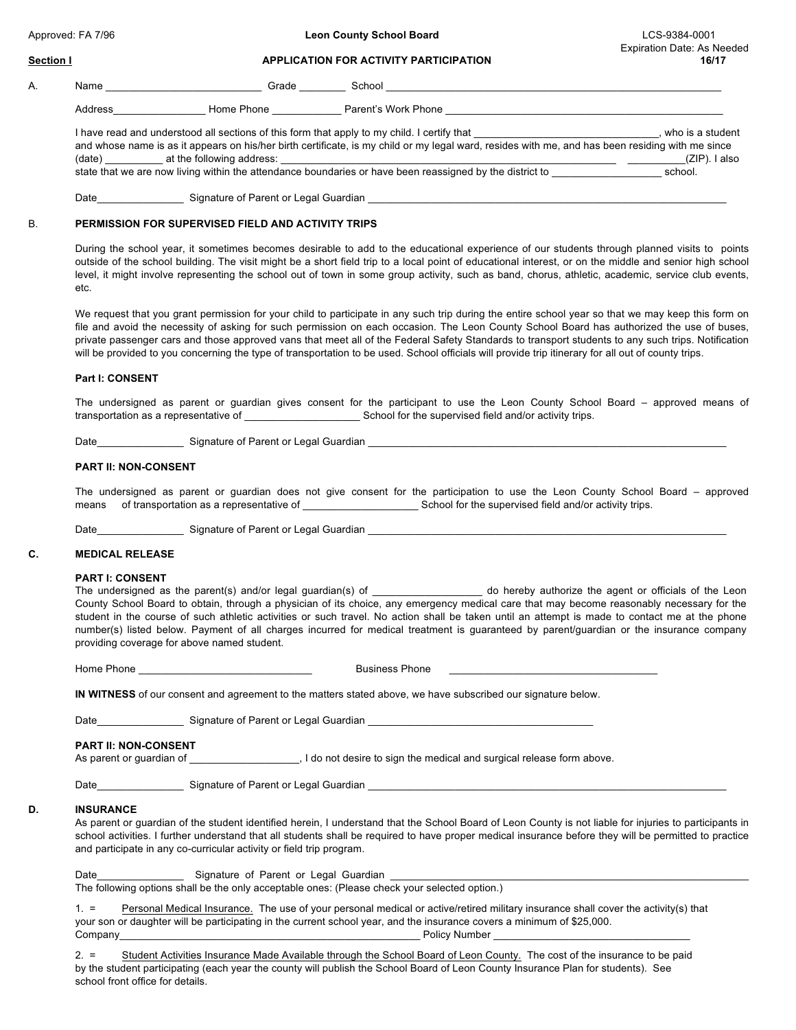#### **Section I APPLICATION FOR ACTIVITY PARTICIPATION 16/17**

## A. Name \_\_\_\_\_\_\_\_\_\_\_\_\_\_\_\_\_\_\_\_\_\_\_\_\_\_\_ Grade \_\_\_\_\_\_\_\_ School \_\_\_\_\_\_\_\_\_\_\_\_\_\_\_\_\_\_\_\_\_\_\_\_\_\_\_\_\_\_\_\_\_\_\_\_\_\_\_\_\_\_\_\_\_\_\_\_\_\_\_\_\_\_\_\_\_\_

Address\_\_\_\_\_\_\_\_\_\_\_\_\_\_\_\_ Home Phone \_\_\_\_\_\_\_\_\_\_\_\_ Parent's Work Phone \_\_\_\_\_\_\_\_\_\_\_\_\_\_\_\_\_\_\_\_\_\_\_\_\_\_\_\_\_\_\_\_\_\_\_\_\_\_\_\_\_\_\_\_\_\_\_\_

I have read and understood all sections of this form that apply to my child. I certify that **I** metal that  $\frac{1}{2}$  must be a student and whose name is as it appears on his/her birth certificate, is my child or my legal ward, resides with me, and has been residing with me since (date) \_\_\_\_\_\_\_\_\_\_ at the following address: \_\_\_\_\_\_\_\_\_\_\_\_\_\_\_\_\_\_\_\_\_\_\_\_\_\_\_\_\_\_\_\_\_\_\_\_\_\_\_\_\_\_\_\_\_\_\_\_\_\_\_\_\_\_\_\_\_\_ \_\_\_\_\_\_\_\_\_\_(ZIP). I also state that we are now living within the attendance boundaries or have been reassigned by the district to \_\_\_\_\_\_\_\_\_\_\_\_\_\_\_\_\_\_\_ school.

Date\_\_\_\_\_\_\_\_\_\_\_\_\_\_\_ Signature of Parent or Legal Guardian \_\_\_\_\_\_\_\_\_\_\_\_\_\_\_\_\_\_\_\_\_\_\_\_\_\_\_\_\_\_\_\_\_\_\_\_\_\_\_\_\_\_\_\_\_\_\_\_\_\_\_\_\_\_\_\_\_\_\_\_\_\_

# B. **PERMISSION FOR SUPERVISED FIELD AND ACTIVITY TRIPS**

During the school year, it sometimes becomes desirable to add to the educational experience of our students through planned visits to points outside of the school building. The visit might be a short field trip to a local point of educational interest, or on the middle and senior high school level, it might involve representing the school out of town in some group activity, such as band, chorus, athletic, academic, service club events, etc.

We request that you grant permission for your child to participate in any such trip during the entire school year so that we may keep this form on file and avoid the necessity of asking for such permission on each occasion. The Leon County School Board has authorized the use of buses, private passenger cars and those approved vans that meet all of the Federal Safety Standards to transport students to any such trips. Notification will be provided to you concerning the type of transportation to be used. School officials will provide trip itinerary for all out of county trips.

## **Part I: CONSENT**

The undersigned as parent or guardian gives consent for the participant to use the Leon County School Board – approved means of transportation as a representative of \_\_\_\_\_\_\_\_\_\_\_\_\_\_\_\_\_\_\_\_ School for the supervised field and/or activity trips.

Date\_\_\_\_\_\_\_\_\_\_\_\_\_\_\_ Signature of Parent or Legal Guardian \_\_\_\_\_\_\_\_\_\_\_\_\_\_\_\_\_\_\_\_\_\_\_\_\_\_\_\_\_\_\_\_\_\_\_\_\_\_\_\_\_\_\_\_\_\_\_\_\_\_\_\_\_\_\_\_\_\_\_\_\_\_

### **PART II: NON-CONSENT**

The undersigned as parent or guardian does not give consent for the participation to use the Leon County School Board – approved means of transportation as a representative of **Exercise 2** School for the supervised field and/or activity trips.

Date\_\_\_\_\_\_\_\_\_\_\_\_\_\_\_ Signature of Parent or Legal Guardian \_\_\_\_\_\_\_\_\_\_\_\_\_\_\_\_\_\_\_\_\_\_\_\_\_\_\_\_\_\_\_\_\_\_\_\_\_\_\_\_\_\_\_\_\_\_\_\_\_\_\_\_\_\_\_\_\_\_\_\_\_\_

## **C. MEDICAL RELEASE**

## **PART I: CONSENT**

The undersigned as the parent(s) and/or legal guardian(s) of \_\_\_\_\_\_\_\_\_\_\_\_\_\_\_\_\_\_\_ do hereby authorize the agent or officials of the Leon County School Board to obtain, through a physician of its choice, any emergency medical care that may become reasonably necessary for the student in the course of such athletic activities or such travel. No action shall be taken until an attempt is made to contact me at the phone number(s) listed below. Payment of all charges incurred for medical treatment is guaranteed by parent/guardian or the insurance company providing coverage for above named student.

Home Phone \_\_\_\_\_\_\_\_\_\_\_\_\_\_\_\_\_\_\_\_\_\_\_\_\_\_\_\_\_\_ Business Phone \_\_\_\_\_\_\_\_\_\_\_\_\_\_\_\_\_\_\_\_\_\_\_\_\_\_\_\_\_\_\_\_\_\_\_\_

**IN WITNESS** of our consent and agreement to the matters stated above, we have subscribed our signature below.

| Date | Signature of Parent or Legal Guardian |  |
|------|---------------------------------------|--|
|      |                                       |  |

#### **PART II: NON-CONSENT**

As parent or guardian of \_\_\_\_\_\_\_\_\_\_\_\_\_\_\_, I do not desire to sign the medical and surgical release form above.

Date **Date** Signature of Parent or Legal Guardian

## **D. INSURANCE**

As parent or guardian of the student identified herein, I understand that the School Board of Leon County is not liable for injuries to participants in school activities. I further understand that all students shall be required to have proper medical insurance before they will be permitted to practice and participate in any co-curricular activity or field trip program.

Date **Date Date** Signature of Parent or Legal Guardian The following options shall be the only acceptable ones: (Please check your selected option.)

1. = Personal Medical Insurance. The use of your personal medical or active/retired military insurance shall cover the activity(s) that your son or daughter will be participating in the current school year, and the insurance covers a minimum of \$25,000. Company\_\_\_\_\_\_\_\_\_\_\_\_\_\_\_\_\_\_\_\_\_\_\_\_\_\_\_\_\_\_\_\_\_\_\_\_\_\_\_\_\_\_\_\_\_\_\_\_\_\_\_\_ Policy Number \_\_\_\_\_\_\_\_\_\_\_\_\_\_\_\_\_\_\_\_\_\_\_\_\_\_\_\_\_\_\_\_\_\_

2. = Student Activities Insurance Made Available through the School Board of Leon County. The cost of the insurance to be paid by the student participating (each year the county will publish the School Board of Leon County Insurance Plan for students). See school front office for details.